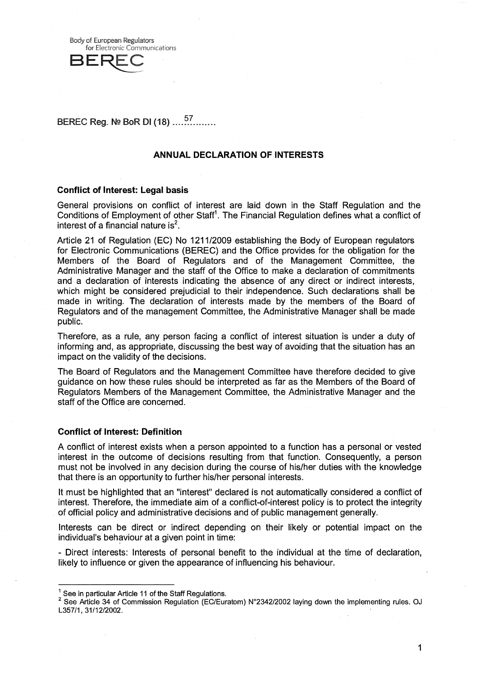**Body of European Regulators** for Electronic Communications

# BEREC Reg. № BoR DI (18) .....<sup>57</sup>......

## **ANNUAL DECLARATION OF INTERESTS**

## **Conflict of Interest: Legal basis**

General provisions on conflict of interest are laid down in the Staff Regulation and the Conditions of Employment of other Staff'. The Financial Regulation defines what a conflict of interest of a financial nature is $<sup>2</sup>$ .</sup>

Article 21 of Regulation (EC) No 1211/2009 establishing the Body of European regulators for Electronic Communications (BEREC) and the Office provides for the obligation for the Members of the Board of Regulators and of the Management Committee, the Administrative Manager and the staff of the Office to make a declaration of commitments and a declaration of interests indicating the absence of any direct or indirect interests, which might be considered prejudicial to their independence. Such declarations shall be made in writing. The declaration of interests made by the members of the Board of Regulators and of the management Committee, the Administrative Manager shall be made public.

Therefore, as a rule, any person facing a conflict of interest situation is under a duty of informing and, as appropriate, discussing the best way of avoiding that the situation has an impact on the validity of the decisions.

The Board of Regulators and the Management Committee have therefore decided to give guidance on how these rules should be interpreted as far as the Members of the Board of Regulators Members of the Management Committee, the Administrative Manager and the staff of the Office are concerned.

### **Conflict of Interest: Definition**

A conflict of interest exists when a person appointed to a function has a personal or vested interest in the outcome of decisions resulting from that function. Consequently, a person must not be involved in any decision during the course of his/her duties with the knowledge that there is an opportunity to further his/her personal interests.

It must be highlighted that an "interest" declared is not automatically considered a conflict of interest. Therefore, the immediate aim of a conflict-of-interest policy is to protect the integrity of official policy and administrative decisions and of public management generally.

Interests can be direct or indirect depending on their likely or potential impact on the individual's behaviour at a given point in time:

- Direct interests: Interests of personal benefit to the individual at the time of declaration, likely to influence or given the appearance of influencing his behaviour.

1

 $<sup>1</sup>$  See in particular Article 11 of the Staff Regulations.</sup>

<sup>&</sup>lt;sup>2</sup> See Article 34 of Commission Regulation (EC/Euratom) N°2342/2002 laying down the implementing rules. OJ L357/1, 31/12/2002.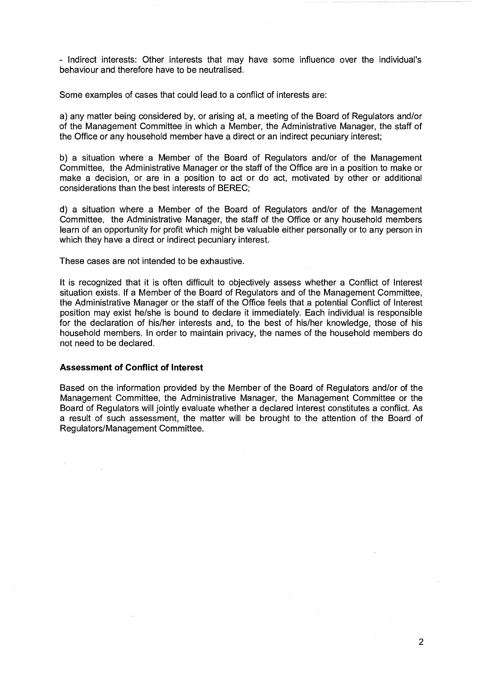- Indirect interests: Other interests that may have some influence over the individual's behaviour and therefore have to be neutralised.

Some examples of cases that could lead to a conflict of interests are:

a) any matter being considered by, or arising at, a meeting of the Board of Regulators and/or of the Management Committee in which a Member, the Administrative Manager, the staff of the Office or any household member have a direct or an indirect pecuniary interest;

b) a situation where a Member of the Board of Regulators and/or of the Management Committee, the Administrative Manager or the staff of the Office are in a position to make or make a decision, or are in a position to act or do act, motivated by other or additional considerations than the best interests of BEREC;

d) a situation where a Member of the Board of Regulators and/or of the Management Committee, the Administrative Manager, the staff of the Office or any household members learn of an opportunity for profit which might be valuable either personally or to any person in which they have a direct or indirect pecuniary interest.

These cases are not intended to be exhaustive.

It is recognized that it is often difficult to objectively assess whether a Conflict of Interest situation exists. If a Member of the Board of Regulators and of the Management Committee, the Administrative Manager or the staff of the Office feels that a potential Conflict of Interest position may exist he/she is bound to declare it immediately. Each individual is responsible for the declaration of his/her interests and, to the best of his/her knowledge, those of his household members. In order to maintain privacy, the names of the household members do not need to be declared.

#### **Assessment of Conflict of Interest**

Based on the information provided by the Member of the Board of Regulators and/or of the Management Committee, the Administrative Manager, the Management Committee or the Board of Regulators will jointly evaluate whether a declared interest constitutes a conflict. As a result of such assessment, the matter will be brought to the attention of the Board of Regulators/Management Committee.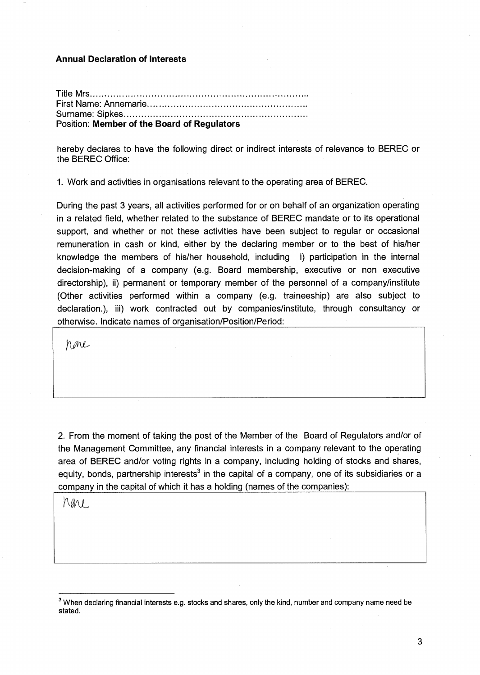## **Annual Declaration of Interests**

| Position: Member of the Board of Regulators |
|---------------------------------------------|

hereby declares to have the following direct or indirect interests of relevance to BEREC or the BEREC Office:

1. Work and activities in organisations relevant to the operating area of BEREC.

During the past 3 years, all activities performed for or on behalf of an organization operating in a related field, whether related to the substance of BEREC mandate or to its operational support, and whether or not these activities have been subject to regular or occasional remuneration in cash or kind, either by the declaring member or to the best of his/her knowledge the members of his/her household, including i) participation in the internal decision-making of a company (e.g. Board membership, executive or non executive directorship), ii) permanent or temporary member of the personnel of a company/institute (Other activities performed within a company (e.g. traineeship) are also subject to declaration.), iii) work contracted out by companies/institute, through consultancy or otherwise. Indicate names of organisation/Position/Period:

none

2. From the moment of taking the post of the Member of the Board of Regulators and/or of the Management Committee, any financial interests in a company relevant to the operating area of BEREC and/or voting rights in a company, including holding of stocks and shares, equity, bonds, partnership interests<sup>3</sup> in the capital of a company, one of its subsidiaries or a company in the capital of which it has a holding (names of the companies):

Mare

<sup>&</sup>lt;sup>3</sup> When declaring financial interests e.g. stocks and shares, only the kind, number and company name need be stated.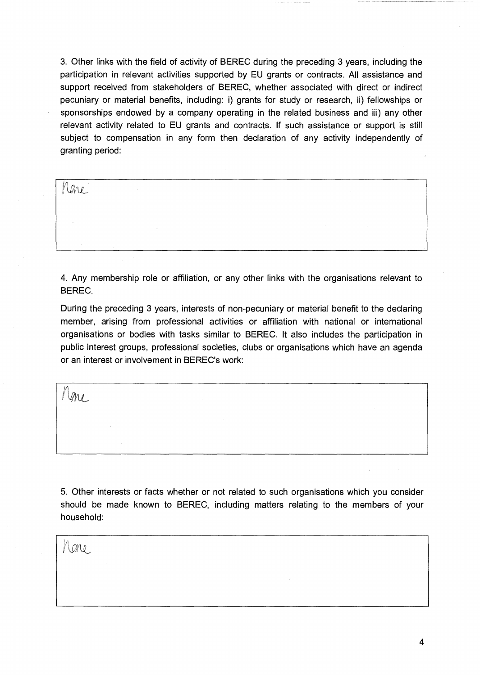3. Other links with the field of activity of BEREC during the preceding 3 years, including the participation in relevant activities supported by EU grants or contracts. All assistance and support received from stakeholders of BEREC, whether associated with direct or indirect pecuniary or material benefits, including: i) grants for study or research, ii) fellowships or sponsorships endowed by a company operating in the related business and iii) any other relevant activity related to EU grants and contracts. If such assistance or support is still subject to compensation in any form then declaration of any activity independently of granting period:

 $\langle \mathscr{Q}_{\Lambda} \mathscr{Q} \rangle$ 

4. Any membership role or affiliation, or any other links with the organisations relevant to BEREC.

During the preceding 3 years, interests of non-pecuniary or material benefit to the declaring member, arising from professional activities or affiliation with national or international organisations or bodies with tasks similar to BEREC. It also includes the participation in public interest groups, professional societies, clubs or organisations which have an agenda or an interest or involvement in BEREC's work:

me

5. Other interests or facts whether or not related to such organisations which you consider should be made known to BEREC, including matters relating to the members of your household:

/\arv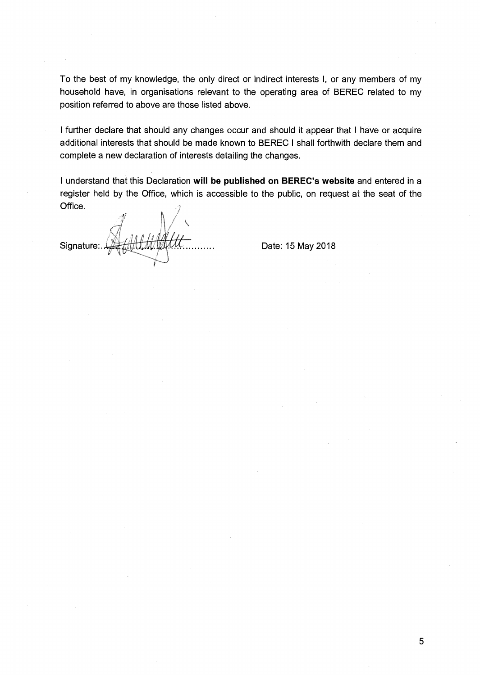To the best of my knowledge, the only direct or indirect interests I, or any members of my household have, in organisations relevant to the operating area of BEREC related to my position referred to above are those listed above.

**<sup>I</sup>**further declare that should any changes occur and should it appear that I have or acquire additional interests that should be made known to BEREC **I** shall forthwith declare them and complete a new declaration of interests detailing the changes.

I understand that this Declaration **will be published on BEREC's website** and entered in a register held by the Office, which is accessible to the public, on request at the seat of the Office.

Signature

Date: 15 May 2018